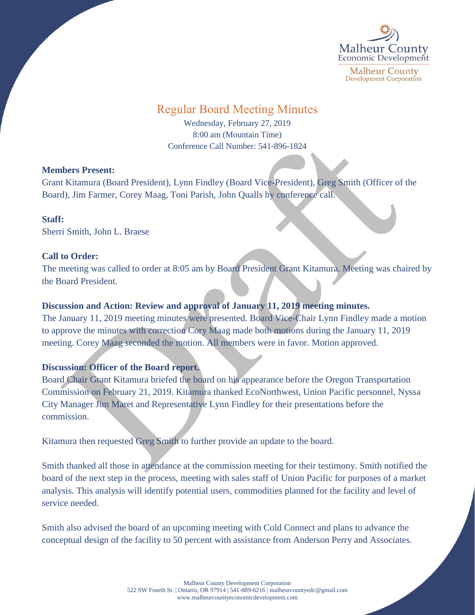

# Regular Board Meeting Minutes

Wednesday, February 27, 2019 8:00 am (Mountain Time) Conference Call Number: 541-896-1824

## **Members Present:**

Grant Kitamura (Board President), Lynn Findley (Board Vice-President), Greg Smith (Officer of the Board), Jim Farmer, Corey Maag, Toni Parish, John Qualls by conference call.

## **Staff:**

Sherri Smith, John L. Braese

# **Call to Order:**

The meeting was called to order at 8:05 am by Board President Grant Kitamura. Meeting was chaired by the Board President.

# **Discussion and Action: Review and approval of January 11, 2019 meeting minutes.**

The January 11, 2019 meeting minutes were presented. Board Vice-Chair Lynn Findley made a motion to approve the minutes with correction Cory Maag made both motions during the January 11, 2019 meeting. Corey Maag seconded the motion. All members were in favor. Motion approved.

# **Discussion: Officer of the Board report.**

Board Chair Grant Kitamura briefed the board on his appearance before the Oregon Transportation Commission on February 21, 2019. Kitamura thanked EcoNorthwest, Union Pacific personnel, Nyssa City Manager Jim Maret and Representative Lynn Findley for their presentations before the commission.

Kitamura then requested Greg Smith to further provide an update to the board.

Smith thanked all those in attendance at the commission meeting for their testimony. Smith notified the board of the next step in the process, meeting with sales staff of Union Pacific for purposes of a market analysis. This analysis will identify potential users, commodities planned for the facility and level of service needed.

Smith also advised the board of an upcoming meeting with Cold Connect and plans to advance the conceptual design of the facility to 50 percent with assistance from Anderson Perry and Associates.